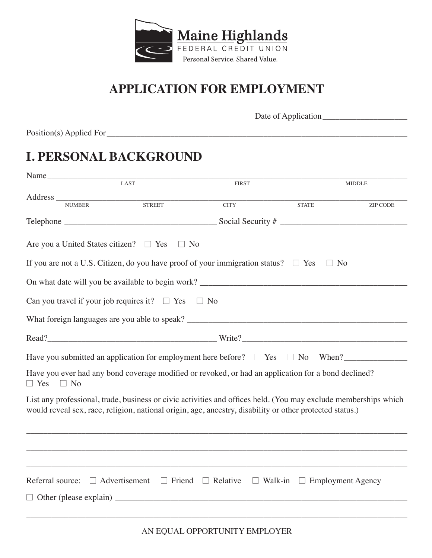

### **APPLICATION FOR EMPLOYMENT**

Date of Application\_\_\_\_\_\_\_\_\_\_\_\_\_\_\_\_\_\_\_\_

Position(s) Applied For\_\_\_\_\_\_\_\_\_\_\_\_\_\_\_\_\_\_\_\_\_\_\_\_\_\_\_\_\_\_\_\_\_\_\_\_\_\_\_\_\_\_\_\_\_\_\_\_\_\_\_\_\_\_\_\_\_\_\_\_\_\_\_\_\_\_\_\_\_\_\_

### **I. PERSONAL BACKGROUND**

| Name                                                                                                                                                                                                                        |               |                               |                                         |                 |  |
|-----------------------------------------------------------------------------------------------------------------------------------------------------------------------------------------------------------------------------|---------------|-------------------------------|-----------------------------------------|-----------------|--|
|                                                                                                                                                                                                                             | LAST          | <b>FIRST</b>                  |                                         | <b>MIDDLE</b>   |  |
|                                                                                                                                                                                                                             |               |                               |                                         |                 |  |
|                                                                                                                                                                                                                             | <b>STREET</b> | <b>CITY</b>                   | <b>STATE</b>                            | <b>ZIP CODE</b> |  |
|                                                                                                                                                                                                                             |               |                               |                                         |                 |  |
| Are you a United States citizen? $\Box$ Yes $\Box$ No                                                                                                                                                                       |               |                               |                                         |                 |  |
| If you are not a U.S. Citizen, do you have proof of your immigration status? $\square$ Yes                                                                                                                                  |               |                               | No<br>$\Box$                            |                 |  |
|                                                                                                                                                                                                                             |               |                               |                                         |                 |  |
| Can you travel if your job requires it? $\square$ Yes                                                                                                                                                                       |               | $\Box$ No                     |                                         |                 |  |
|                                                                                                                                                                                                                             |               |                               |                                         |                 |  |
|                                                                                                                                                                                                                             |               |                               |                                         |                 |  |
| Have you submitted an application for employment here before? $\Box$ Yes $\Box$ No When?                                                                                                                                    |               |                               |                                         |                 |  |
| Have you ever had any bond coverage modified or revoked, or had an application for a bond declined?<br>$\Box$ Yes<br>$\Box$ No                                                                                              |               |                               |                                         |                 |  |
| List any professional, trade, business or civic activities and offices held. (You may exclude memberships which<br>would reveal sex, race, religion, national origin, age, ancestry, disability or other protected status.) |               |                               |                                         |                 |  |
|                                                                                                                                                                                                                             |               |                               |                                         |                 |  |
|                                                                                                                                                                                                                             |               |                               |                                         |                 |  |
| Referral source: $\Box$ Advertisement                                                                                                                                                                                       |               | $\Box$ Friend $\Box$ Relative | $\Box$ Walk-in $\Box$ Employment Agency |                 |  |
|                                                                                                                                                                                                                             |               |                               |                                         |                 |  |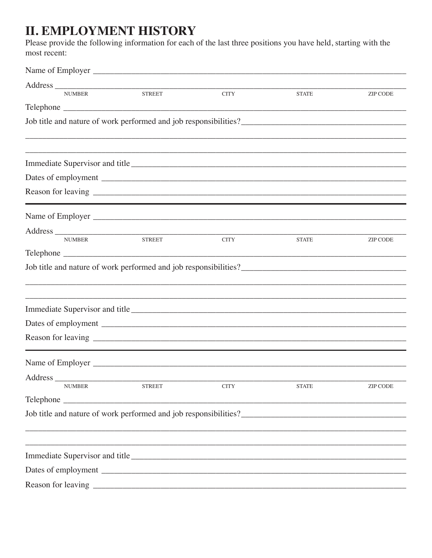# **II. EMPLOYMENT HISTORY**

Please provide the following information for each of the last three positions you have held, starting with the most recent:

| <b>NUMBER</b>    | <b>STREET</b>                                                                     | <b>CITY</b> | <b>STATE</b> | <b>ZIP CODE</b> |
|------------------|-----------------------------------------------------------------------------------|-------------|--------------|-----------------|
|                  |                                                                                   |             |              |                 |
|                  |                                                                                   |             |              |                 |
|                  |                                                                                   |             |              |                 |
|                  |                                                                                   |             |              |                 |
|                  |                                                                                   |             |              |                 |
|                  |                                                                                   |             |              |                 |
|                  |                                                                                   |             |              |                 |
| Name of Employer |                                                                                   |             |              |                 |
|                  |                                                                                   |             |              |                 |
| <b>NUMBER</b>    | <b>STREET</b>                                                                     | <b>CITY</b> | <b>STATE</b> | <b>ZIP CODE</b> |
|                  |                                                                                   |             |              |                 |
|                  |                                                                                   |             |              |                 |
|                  |                                                                                   |             |              |                 |
|                  |                                                                                   |             |              |                 |
|                  |                                                                                   |             |              |                 |
|                  |                                                                                   |             |              |                 |
|                  |                                                                                   |             |              |                 |
|                  |                                                                                   |             |              |                 |
|                  |                                                                                   |             |              |                 |
| Address          |                                                                                   |             |              |                 |
| <b>NUMBER</b>    | <b>STREET</b>                                                                     | <b>CITY</b> | <b>STATE</b> | ZIP CODE        |
|                  |                                                                                   |             |              |                 |
|                  |                                                                                   |             |              |                 |
|                  | ,我们也不能会有什么。""我们的人,我们也不能会有什么?""我们的人,我们也不能会有什么?""我们的人,我们也不能会有什么?""我们的人,我们也不能会有什么?"" |             |              |                 |
|                  | ,我们也不能会有什么。""我们的人,我们也不能会有什么?""我们的人,我们也不能会有什么?""我们的人,我们也不能会有什么?""我们的人,我们也不能会有什么?"" |             |              |                 |
|                  |                                                                                   |             |              |                 |
|                  |                                                                                   |             |              |                 |
|                  |                                                                                   |             |              |                 |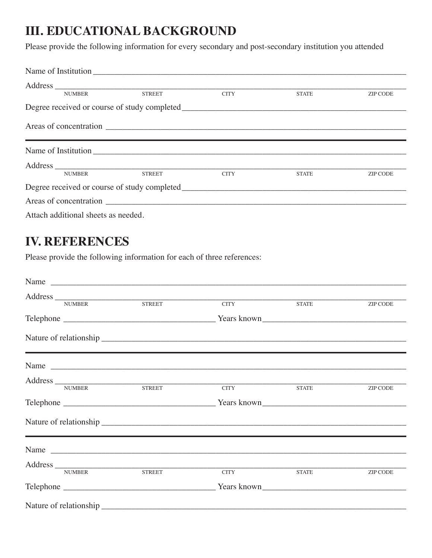## **III. EDUCATIONAL BACKGROUND**

Please provide the following information for every secondary and post-secondary institution you attended

| <b>NUMBER</b>                                                                                      | <b>STREET</b> | <b>CITY</b> | <b>STATE</b> | ZIP CODE |
|----------------------------------------------------------------------------------------------------|---------------|-------------|--------------|----------|
|                                                                                                    |               |             |              |          |
|                                                                                                    |               |             |              |          |
|                                                                                                    |               |             |              |          |
|                                                                                                    |               |             |              |          |
| <b>NUMBER</b>                                                                                      | <b>STREET</b> | <b>CITY</b> | <b>STATE</b> | ZIP CODE |
| Degree received or course of study completed Learning and the study control of the study completed |               |             |              |          |
|                                                                                                    |               |             |              |          |
| Attach additional sheets as needed.                                                                |               |             |              |          |

#### **IV. REFERENCES**

Please provide the following information for each of three references:

|               | Address NUMBER STREET |                                                                                          |              |                 |  |
|---------------|-----------------------|------------------------------------------------------------------------------------------|--------------|-----------------|--|
|               |                       | <b>CITY</b>                                                                              | <b>STATE</b> | ZIP CODE        |  |
|               |                       |                                                                                          |              |                 |  |
|               |                       |                                                                                          |              |                 |  |
|               |                       | ,一个人的人都是一个人的人,我们也不会不会不会。""我们,我们也不会不会不会不会不会不会不会。""我们,我们也不会不会不会不会不会。""我们,我们也不会不会不会<br>Name |              |                 |  |
|               |                       |                                                                                          |              |                 |  |
|               | Address NUMBER STREET | CITY                                                                                     | <b>STATE</b> | <b>ZIP CODE</b> |  |
|               |                       |                                                                                          |              |                 |  |
|               |                       |                                                                                          |              |                 |  |
|               |                       |                                                                                          |              |                 |  |
|               |                       | Name                                                                                     |              |                 |  |
|               |                       |                                                                                          |              |                 |  |
| <b>NUMBER</b> | <b>STREET</b>         | <b>CITY</b>                                                                              | <b>STATE</b> | <b>ZIP CODE</b> |  |
|               |                       |                                                                                          |              |                 |  |
|               |                       |                                                                                          |              |                 |  |